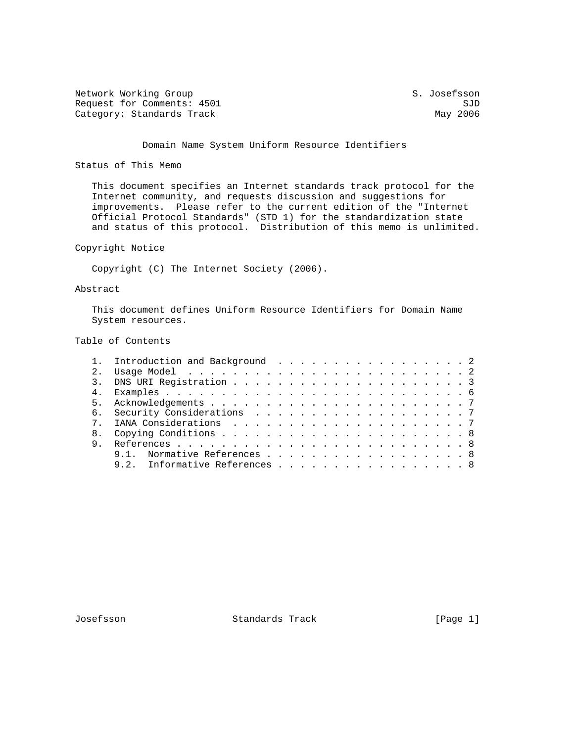Network Working Group S. Josefsson Request for Comments: 4501 SJD Category: Standards Track

## Domain Name System Uniform Resource Identifiers

Status of This Memo

 This document specifies an Internet standards track protocol for the Internet community, and requests discussion and suggestions for improvements. Please refer to the current edition of the "Internet Official Protocol Standards" (STD 1) for the standardization state and status of this protocol. Distribution of this memo is unlimited.

Copyright Notice

Copyright (C) The Internet Society (2006).

## Abstract

 This document defines Uniform Resource Identifiers for Domain Name System resources.

Table of Contents

|                | 1. Introduction and Background 2 |  |  |  |
|----------------|----------------------------------|--|--|--|
| 2 <sub>1</sub> |                                  |  |  |  |
|                |                                  |  |  |  |
|                |                                  |  |  |  |
|                |                                  |  |  |  |
|                |                                  |  |  |  |
|                |                                  |  |  |  |
|                | 8.                               |  |  |  |
|                | 9                                |  |  |  |
|                | 9.1. Normative References 8      |  |  |  |
|                | 9.2. Informative References 8    |  |  |  |

Josefsson Standards Track [Page 1]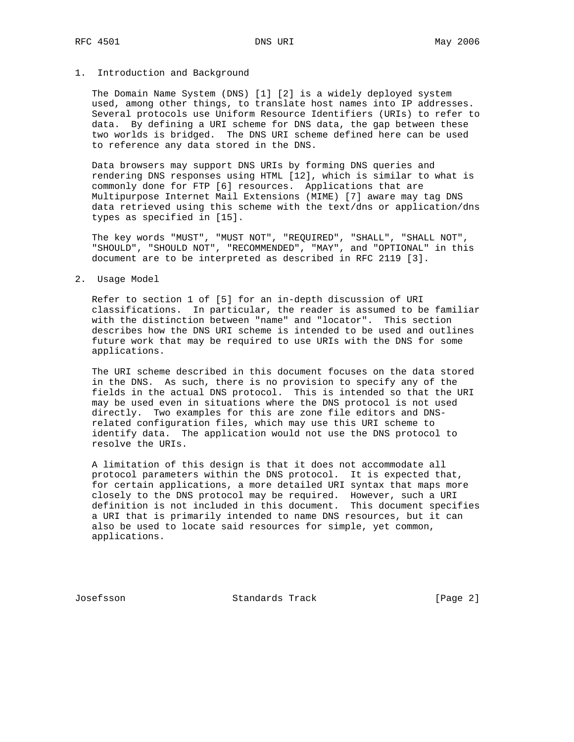## 1. Introduction and Background

 The Domain Name System (DNS) [1] [2] is a widely deployed system used, among other things, to translate host names into IP addresses. Several protocols use Uniform Resource Identifiers (URIs) to refer to data. By defining a URI scheme for DNS data, the gap between these two worlds is bridged. The DNS URI scheme defined here can be used to reference any data stored in the DNS.

 Data browsers may support DNS URIs by forming DNS queries and rendering DNS responses using HTML [12], which is similar to what is commonly done for FTP [6] resources. Applications that are Multipurpose Internet Mail Extensions (MIME) [7] aware may tag DNS data retrieved using this scheme with the text/dns or application/dns types as specified in [15].

 The key words "MUST", "MUST NOT", "REQUIRED", "SHALL", "SHALL NOT", "SHOULD", "SHOULD NOT", "RECOMMENDED", "MAY", and "OPTIONAL" in this document are to be interpreted as described in RFC 2119 [3].

2. Usage Model

 Refer to section 1 of [5] for an in-depth discussion of URI classifications. In particular, the reader is assumed to be familiar with the distinction between "name" and "locator". This section describes how the DNS URI scheme is intended to be used and outlines future work that may be required to use URIs with the DNS for some applications.

 The URI scheme described in this document focuses on the data stored in the DNS. As such, there is no provision to specify any of the fields in the actual DNS protocol. This is intended so that the URI may be used even in situations where the DNS protocol is not used directly. Two examples for this are zone file editors and DNS related configuration files, which may use this URI scheme to identify data. The application would not use the DNS protocol to resolve the URIs.

 A limitation of this design is that it does not accommodate all protocol parameters within the DNS protocol. It is expected that, for certain applications, a more detailed URI syntax that maps more closely to the DNS protocol may be required. However, such a URI definition is not included in this document. This document specifies a URI that is primarily intended to name DNS resources, but it can also be used to locate said resources for simple, yet common, applications.

Josefsson Standards Track [Page 2]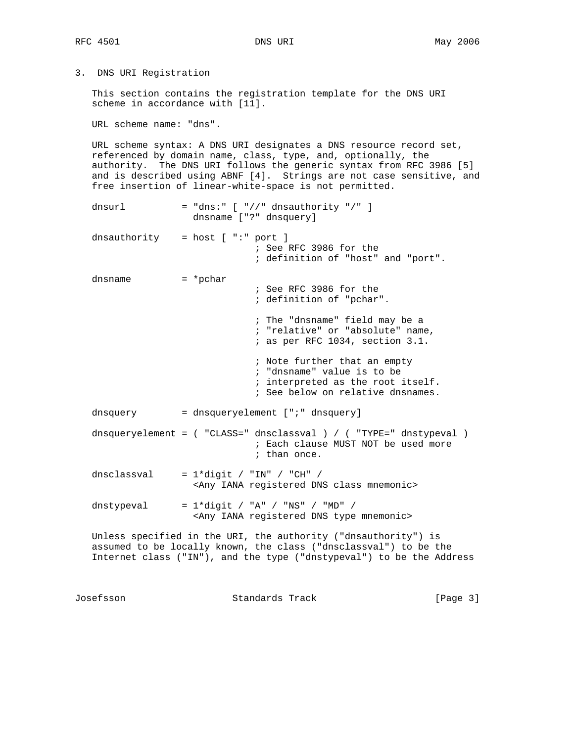3. DNS URI Registration

 This section contains the registration template for the DNS URI scheme in accordance with [11].

URL scheme name: "dns".

 URL scheme syntax: A DNS URI designates a DNS resource record set, referenced by domain name, class, type, and, optionally, the authority. The DNS URI follows the generic syntax from RFC 3986 [5] and is described using ABNF [4]. Strings are not case sensitive, and free insertion of linear-white-space is not permitted.

dnsurl  $=$  "dns:"  $[$  "//" dnsauthority "/" ] dnsname ["?" dnsquery] dnsauthority = host [ ":" port ] ; See RFC 3986 for the ; definition of "host" and "port". dnsname  $= *pchar$  ; See RFC 3986 for the ; definition of "pchar". ; The "dnsname" field may be a ; "relative" or "absolute" name, ; as per RFC 1034, section 3.1. ; Note further that an empty ; "dnsname" value is to be ; interpreted as the root itself. ; See below on relative dnsnames. dnsquery = dnsqueryelement [";" dnsquery] dnsqueryelement = ( "CLASS=" dnsclassval ) / ( "TYPE=" dnstypeval ) ; Each clause MUST NOT be used more ; than once. dnsclassval =  $1*$ digit / "IN" / "CH" / <Any IANA registered DNS class mnemonic> dnstypeval =  $1*$ digit / "A" / "NS" / "MD" / <Any IANA registered DNS type mnemonic> Unless specified in the URI, the authority ("dnsauthority") is assumed to be locally known, the class ("dnsclassval") to be the Internet class ("IN"), and the type ("dnstypeval") to be the Address

Josefsson Standards Track [Page 3]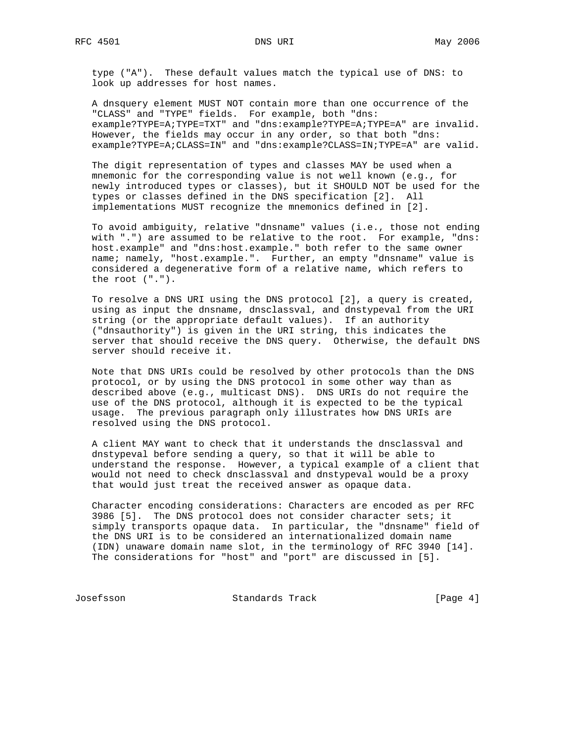type ("A"). These default values match the typical use of DNS: to look up addresses for host names.

 A dnsquery element MUST NOT contain more than one occurrence of the "CLASS" and "TYPE" fields. For example, both "dns: example?TYPE=A;TYPE=TXT" and "dns:example?TYPE=A;TYPE=A" are invalid. However, the fields may occur in any order, so that both "dns: example?TYPE=A;CLASS=IN" and "dns:example?CLASS=IN;TYPE=A" are valid.

 The digit representation of types and classes MAY be used when a mnemonic for the corresponding value is not well known (e.g., for newly introduced types or classes), but it SHOULD NOT be used for the types or classes defined in the DNS specification [2]. All implementations MUST recognize the mnemonics defined in [2].

 To avoid ambiguity, relative "dnsname" values (i.e., those not ending with ".") are assumed to be relative to the root. For example, "dns: host.example" and "dns:host.example." both refer to the same owner name; namely, "host.example.". Further, an empty "dnsname" value is considered a degenerative form of a relative name, which refers to the root (".").

 To resolve a DNS URI using the DNS protocol [2], a query is created, using as input the dnsname, dnsclassval, and dnstypeval from the URI string (or the appropriate default values). If an authority ("dnsauthority") is given in the URI string, this indicates the server that should receive the DNS query. Otherwise, the default DNS server should receive it.

 Note that DNS URIs could be resolved by other protocols than the DNS protocol, or by using the DNS protocol in some other way than as described above (e.g., multicast DNS). DNS URIs do not require the use of the DNS protocol, although it is expected to be the typical usage. The previous paragraph only illustrates how DNS URIs are resolved using the DNS protocol.

 A client MAY want to check that it understands the dnsclassval and dnstypeval before sending a query, so that it will be able to understand the response. However, a typical example of a client that would not need to check dnsclassval and dnstypeval would be a proxy that would just treat the received answer as opaque data.

 Character encoding considerations: Characters are encoded as per RFC 3986 [5]. The DNS protocol does not consider character sets; it simply transports opaque data. In particular, the "dnsname" field of the DNS URI is to be considered an internationalized domain name (IDN) unaware domain name slot, in the terminology of RFC 3940 [14]. The considerations for "host" and "port" are discussed in [5].

Josefsson Standards Track [Page 4]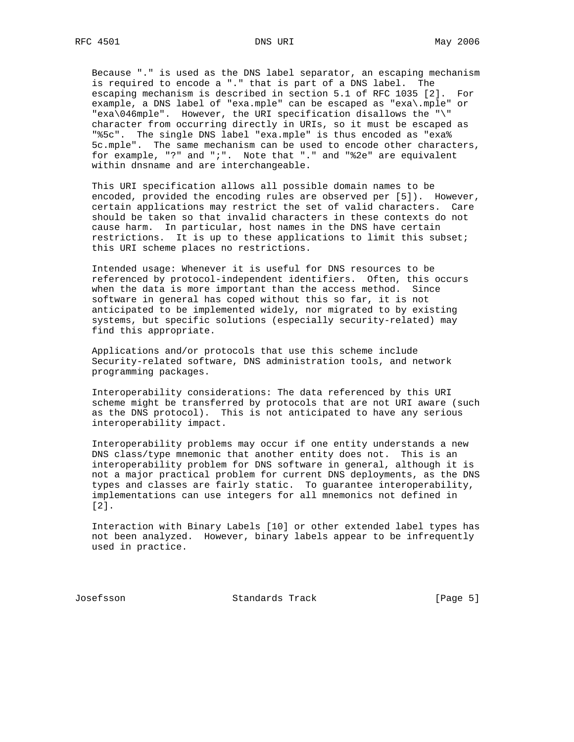Because "." is used as the DNS label separator, an escaping mechanism is required to encode a "." that is part of a DNS label. The escaping mechanism is described in section 5.1 of RFC 1035 [2]. For example, a DNS label of "exa.mple" can be escaped as "exa\.mple" or "exa\046mple". However, the URI specification disallows the "\" character from occurring directly in URIs, so it must be escaped as "%5c". The single DNS label "exa.mple" is thus encoded as "exa% 5c.mple". The same mechanism can be used to encode other characters, for example, "?" and ";". Note that "." and "%2e" are equivalent within dnsname and are interchangeable.

 This URI specification allows all possible domain names to be encoded, provided the encoding rules are observed per [5]). However, certain applications may restrict the set of valid characters. Care should be taken so that invalid characters in these contexts do not cause harm. In particular, host names in the DNS have certain restrictions. It is up to these applications to limit this subset; this URI scheme places no restrictions.

 Intended usage: Whenever it is useful for DNS resources to be referenced by protocol-independent identifiers. Often, this occurs when the data is more important than the access method. Since software in general has coped without this so far, it is not anticipated to be implemented widely, nor migrated to by existing systems, but specific solutions (especially security-related) may find this appropriate.

 Applications and/or protocols that use this scheme include Security-related software, DNS administration tools, and network programming packages.

 Interoperability considerations: The data referenced by this URI scheme might be transferred by protocols that are not URI aware (such as the DNS protocol). This is not anticipated to have any serious interoperability impact.

 Interoperability problems may occur if one entity understands a new DNS class/type mnemonic that another entity does not. This is an interoperability problem for DNS software in general, although it is not a major practical problem for current DNS deployments, as the DNS types and classes are fairly static. To guarantee interoperability, implementations can use integers for all mnemonics not defined in [2].

 Interaction with Binary Labels [10] or other extended label types has not been analyzed. However, binary labels appear to be infrequently used in practice.

Josefsson Standards Track [Page 5]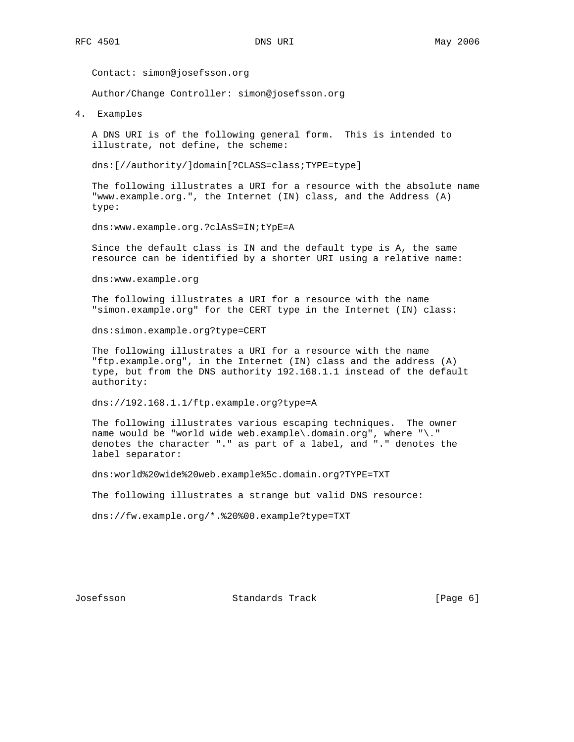Contact: simon@josefsson.org

Author/Change Controller: simon@josefsson.org

4. Examples

 A DNS URI is of the following general form. This is intended to illustrate, not define, the scheme:

dns:[//authority/]domain[?CLASS=class;TYPE=type]

 The following illustrates a URI for a resource with the absolute name "www.example.org.", the Internet (IN) class, and the Address (A) type:

dns:www.example.org.?clAsS=IN;tYpE=A

 Since the default class is IN and the default type is A, the same resource can be identified by a shorter URI using a relative name:

dns:www.example.org

 The following illustrates a URI for a resource with the name "simon.example.org" for the CERT type in the Internet (IN) class:

dns:simon.example.org?type=CERT

 The following illustrates a URI for a resource with the name "ftp.example.org", in the Internet (IN) class and the address (A) type, but from the DNS authority 192.168.1.1 instead of the default authority:

dns://192.168.1.1/ftp.example.org?type=A

 The following illustrates various escaping techniques. The owner name would be "world wide web.example\.domain.org", where "\." denotes the character "." as part of a label, and "." denotes the label separator:

dns:world%20wide%20web.example%5c.domain.org?TYPE=TXT

The following illustrates a strange but valid DNS resource:

dns://fw.example.org/\*.%20%00.example?type=TXT

Josefsson Standards Track [Page 6]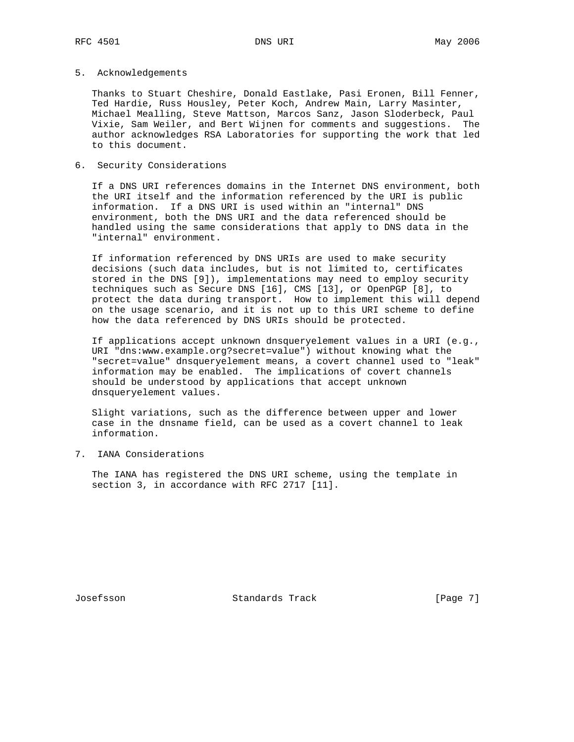#### 5. Acknowledgements

 Thanks to Stuart Cheshire, Donald Eastlake, Pasi Eronen, Bill Fenner, Ted Hardie, Russ Housley, Peter Koch, Andrew Main, Larry Masinter, Michael Mealling, Steve Mattson, Marcos Sanz, Jason Sloderbeck, Paul Vixie, Sam Weiler, and Bert Wijnen for comments and suggestions. The author acknowledges RSA Laboratories for supporting the work that led to this document.

# 6. Security Considerations

 If a DNS URI references domains in the Internet DNS environment, both the URI itself and the information referenced by the URI is public information. If a DNS URI is used within an "internal" DNS environment, both the DNS URI and the data referenced should be handled using the same considerations that apply to DNS data in the "internal" environment.

 If information referenced by DNS URIs are used to make security decisions (such data includes, but is not limited to, certificates stored in the DNS [9]), implementations may need to employ security techniques such as Secure DNS [16], CMS [13], or OpenPGP [8], to protect the data during transport. How to implement this will depend on the usage scenario, and it is not up to this URI scheme to define how the data referenced by DNS URIs should be protected.

 If applications accept unknown dnsqueryelement values in a URI (e.g., URI "dns:www.example.org?secret=value") without knowing what the "secret=value" dnsqueryelement means, a covert channel used to "leak" information may be enabled. The implications of covert channels should be understood by applications that accept unknown dnsqueryelement values.

 Slight variations, such as the difference between upper and lower case in the dnsname field, can be used as a covert channel to leak information.

7. IANA Considerations

 The IANA has registered the DNS URI scheme, using the template in section 3, in accordance with RFC 2717 [11].

Josefsson Standards Track [Page 7]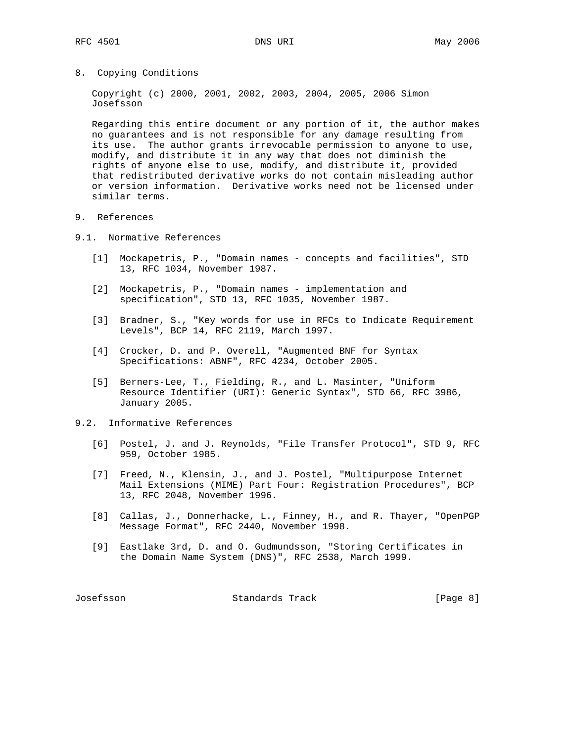8. Copying Conditions

 Copyright (c) 2000, 2001, 2002, 2003, 2004, 2005, 2006 Simon Josefsson

 Regarding this entire document or any portion of it, the author makes no guarantees and is not responsible for any damage resulting from its use. The author grants irrevocable permission to anyone to use, modify, and distribute it in any way that does not diminish the rights of anyone else to use, modify, and distribute it, provided that redistributed derivative works do not contain misleading author or version information. Derivative works need not be licensed under similar terms.

- 9. References
- 9.1. Normative References
	- [1] Mockapetris, P., "Domain names concepts and facilities", STD 13, RFC 1034, November 1987.
	- [2] Mockapetris, P., "Domain names implementation and specification", STD 13, RFC 1035, November 1987.
	- [3] Bradner, S., "Key words for use in RFCs to Indicate Requirement Levels", BCP 14, RFC 2119, March 1997.
	- [4] Crocker, D. and P. Overell, "Augmented BNF for Syntax Specifications: ABNF", RFC 4234, October 2005.
	- [5] Berners-Lee, T., Fielding, R., and L. Masinter, "Uniform Resource Identifier (URI): Generic Syntax", STD 66, RFC 3986, January 2005.
- 9.2. Informative References
	- [6] Postel, J. and J. Reynolds, "File Transfer Protocol", STD 9, RFC 959, October 1985.
	- [7] Freed, N., Klensin, J., and J. Postel, "Multipurpose Internet Mail Extensions (MIME) Part Four: Registration Procedures", BCP 13, RFC 2048, November 1996.
	- [8] Callas, J., Donnerhacke, L., Finney, H., and R. Thayer, "OpenPGP Message Format", RFC 2440, November 1998.
	- [9] Eastlake 3rd, D. and O. Gudmundsson, "Storing Certificates in the Domain Name System (DNS)", RFC 2538, March 1999.

Josefsson Standards Track [Page 8]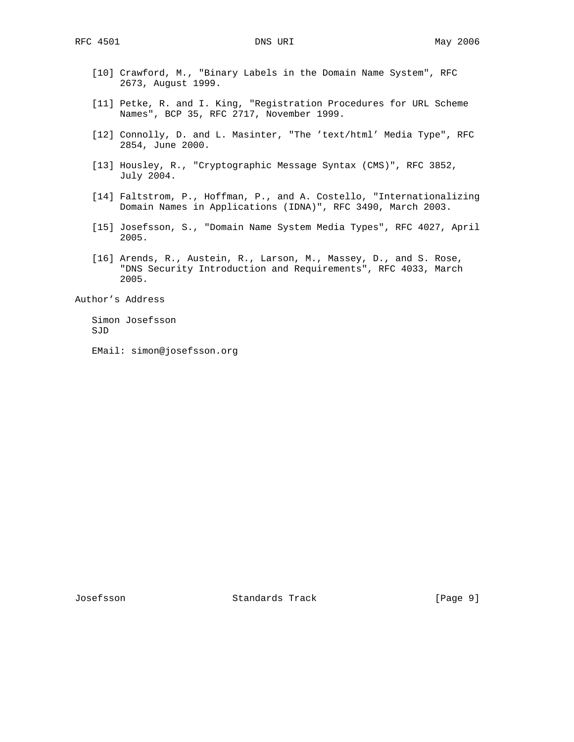- [10] Crawford, M., "Binary Labels in the Domain Name System", RFC 2673, August 1999.
- [11] Petke, R. and I. King, "Registration Procedures for URL Scheme Names", BCP 35, RFC 2717, November 1999.
- [12] Connolly, D. and L. Masinter, "The 'text/html' Media Type", RFC 2854, June 2000.
- [13] Housley, R., "Cryptographic Message Syntax (CMS)", RFC 3852, July 2004.
- [14] Faltstrom, P., Hoffman, P., and A. Costello, "Internationalizing Domain Names in Applications (IDNA)", RFC 3490, March 2003.
- [15] Josefsson, S., "Domain Name System Media Types", RFC 4027, April 2005.
- [16] Arends, R., Austein, R., Larson, M., Massey, D., and S. Rose, "DNS Security Introduction and Requirements", RFC 4033, March 2005.

Author's Address

 Simon Josefsson SJD

EMail: simon@josefsson.org

Josefsson Standards Track [Page 9]